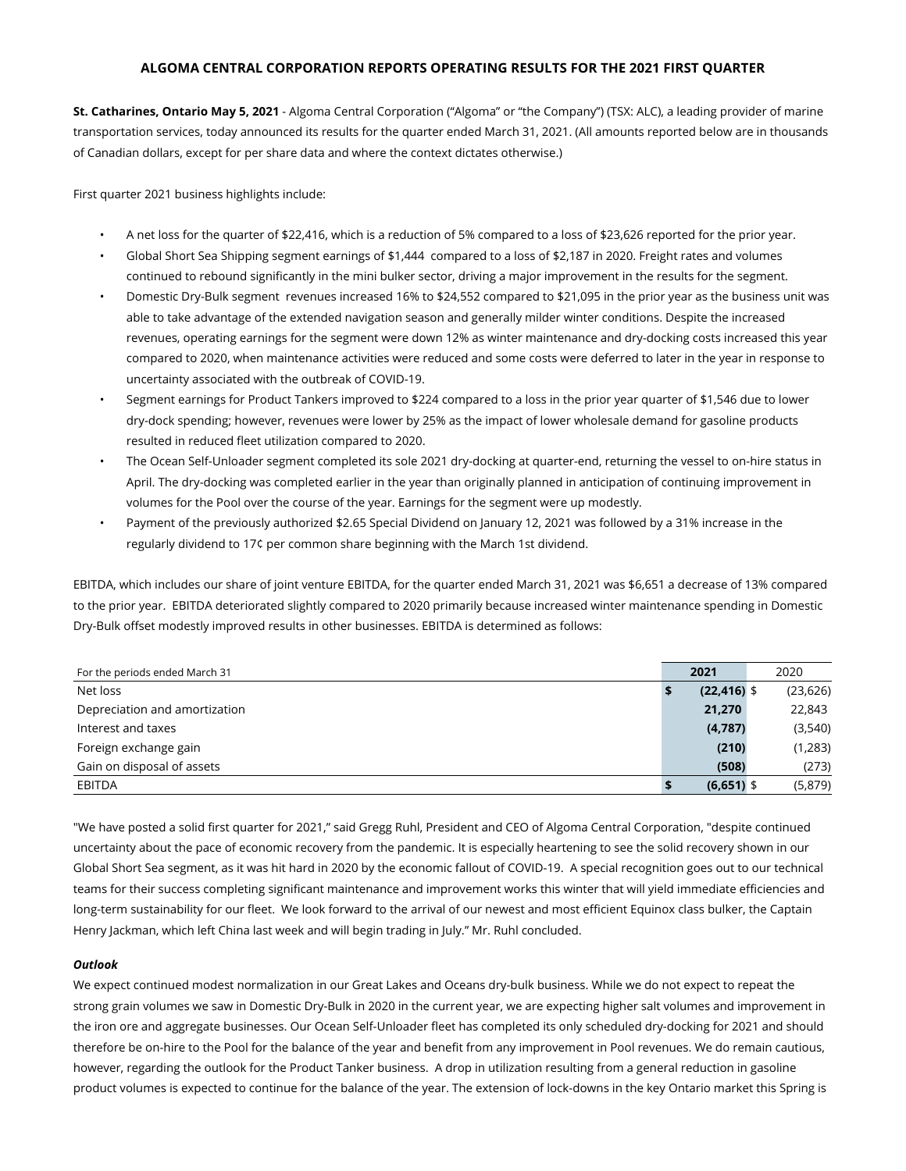# **ALGOMA CENTRAL CORPORATION REPORTS OPERATING RESULTS FOR THE 2021 FIRST QUARTER**

**St. Catharines, Ontario May 5, 2021** - Algoma Central Corporation ("Algoma" or "the Company") (TSX: ALC), a leading provider of marine transportation services, today announced its results for the quarter ended March 31, 2021. (All amounts reported below are in thousands of Canadian dollars, except for per share data and where the context dictates otherwise.)

First quarter 2021 business highlights include:

- A net loss for the quarter of \$22,416, which is a reduction of 5% compared to a loss of \$23,626 reported for the prior year.
- Global Short Sea Shipping segment earnings of \$1,444 compared to a loss of \$2,187 in 2020. Freight rates and volumes continued to rebound significantly in the mini bulker sector, driving a major improvement in the results for the segment.
- Domestic Dry-Bulk segment revenues increased 16% to \$24,552 compared to \$21,095 in the prior year as the business unit was able to take advantage of the extended navigation season and generally milder winter conditions. Despite the increased revenues, operating earnings for the segment were down 12% as winter maintenance and dry-docking costs increased this year compared to 2020, when maintenance activities were reduced and some costs were deferred to later in the year in response to uncertainty associated with the outbreak of COVID-19.
- Segment earnings for Product Tankers improved to \$224 compared to a loss in the prior year quarter of \$1,546 due to lower dry-dock spending; however, revenues were lower by 25% as the impact of lower wholesale demand for gasoline products resulted in reduced fleet utilization compared to 2020.
- The Ocean Self-Unloader segment completed its sole 2021 dry-docking at quarter-end, returning the vessel to on-hire status in April. The dry-docking was completed earlier in the year than originally planned in anticipation of continuing improvement in volumes for the Pool over the course of the year. Earnings for the segment were up modestly.
- Payment of the previously authorized \$2.65 Special Dividend on January 12, 2021 was followed by a 31% increase in the regularly dividend to 17¢ per common share beginning with the March 1st dividend.

EBITDA, which includes our share of joint venture EBITDA, for the quarter ended March 31, 2021 was \$6,651 a decrease of 13% compared to the prior year. EBITDA deteriorated slightly compared to 2020 primarily because increased winter maintenance spending in Domestic Dry-Bulk offset modestly improved results in other businesses. EBITDA is determined as follows:

| For the periods ended March 31 | 2021           | 2020      |
|--------------------------------|----------------|-----------|
| Net loss                       | $(22, 416)$ \$ | (23, 626) |
| Depreciation and amortization  | 21,270         | 22,843    |
| Interest and taxes             | (4,787)        | (3,540)   |
| Foreign exchange gain          | (210)          | (1,283)   |
| Gain on disposal of assets     | (508)          | (273)     |
| EBITDA                         | $(6,651)$ \$   | (5,879)   |

"We have posted a solid first quarter for 2021," said Gregg Ruhl, President and CEO of Algoma Central Corporation, "despite continued uncertainty about the pace of economic recovery from the pandemic. It is especially heartening to see the solid recovery shown in our Global Short Sea segment, as it was hit hard in 2020 by the economic fallout of COVID-19. A special recognition goes out to our technical teams for their success completing significant maintenance and improvement works this winter that will yield immediate efficiencies and long-term sustainability for our fleet. We look forward to the arrival of our newest and most efficient Equinox class bulker, the Captain Henry Jackman, which left China last week and will begin trading in July." Mr. Ruhl concluded.

# *Outlook*

We expect continued modest normalization in our Great Lakes and Oceans dry-bulk business. While we do not expect to repeat the strong grain volumes we saw in Domestic Dry-Bulk in 2020 in the current year, we are expecting higher salt volumes and improvement in the iron ore and aggregate businesses. Our Ocean Self-Unloader fleet has completed its only scheduled dry-docking for 2021 and should therefore be on-hire to the Pool for the balance of the year and benefit from any improvement in Pool revenues. We do remain cautious, however, regarding the outlook for the Product Tanker business. A drop in utilization resulting from a general reduction in gasoline product volumes is expected to continue for the balance of the year. The extension of lock-downs in the key Ontario market this Spring is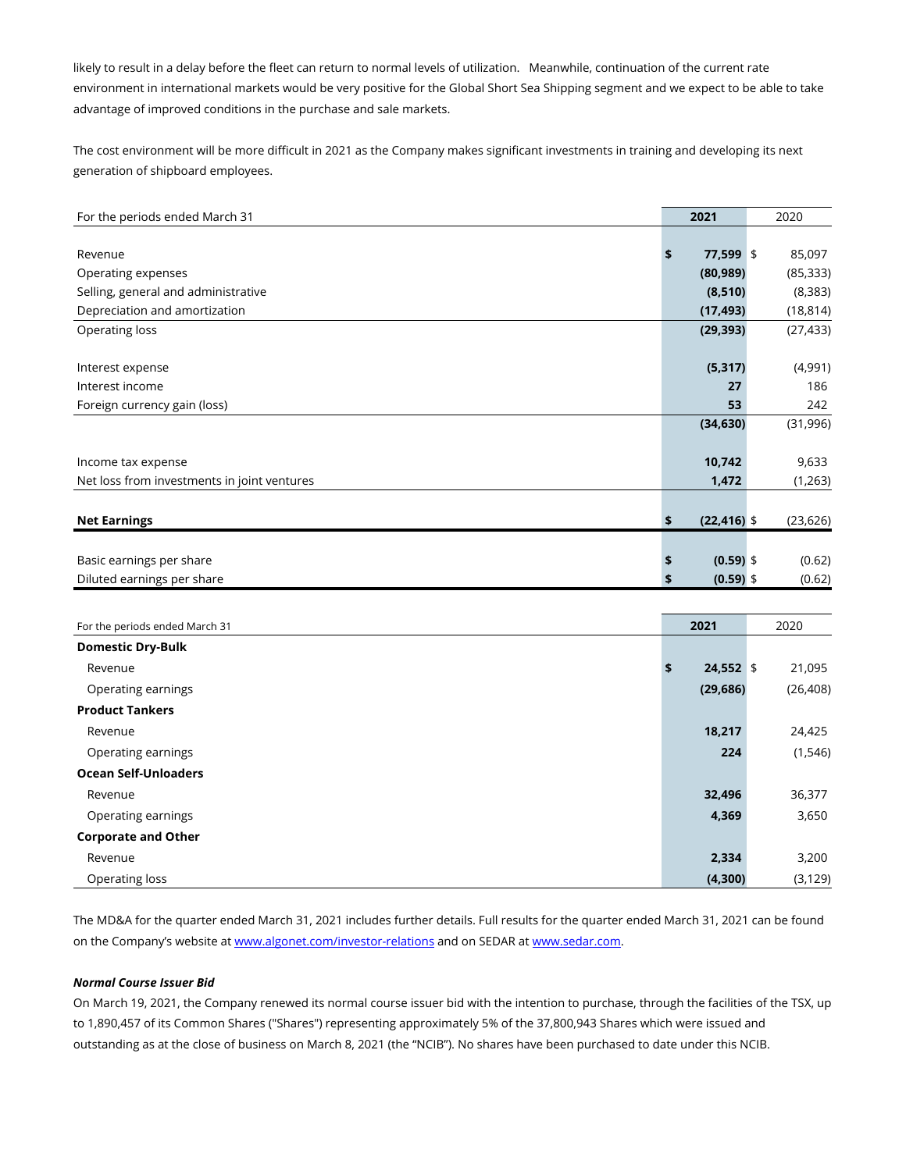likely to result in a delay before the fleet can return to normal levels of utilization. Meanwhile, continuation of the current rate environment in international markets would be very positive for the Global Short Sea Shipping segment and we expect to be able to take advantage of improved conditions in the purchase and sale markets.

The cost environment will be more difficult in 2021 as the Company makes significant investments in training and developing its next generation of shipboard employees.

| For the periods ended March 31              | 2021                 | 2020      |
|---------------------------------------------|----------------------|-----------|
|                                             |                      |           |
| Revenue                                     | \$<br>77,599 \$      | 85,097    |
| Operating expenses                          | (80, 989)            | (85, 333) |
| Selling, general and administrative         | (8, 510)             | (8, 383)  |
| Depreciation and amortization               | (17, 493)            | (18, 814) |
| Operating loss                              | (29, 393)            | (27, 433) |
|                                             |                      |           |
| Interest expense                            | (5, 317)             | (4,991)   |
| Interest income                             | 27                   | 186       |
| Foreign currency gain (loss)                | 53                   | 242       |
|                                             | (34, 630)            | (31,996)  |
|                                             |                      |           |
| Income tax expense                          | 10,742               | 9,633     |
| Net loss from investments in joint ventures | 1,472                | (1,263)   |
|                                             |                      |           |
| <b>Net Earnings</b>                         | \$<br>$(22, 416)$ \$ | (23, 626) |
|                                             |                      |           |
| Basic earnings per share                    | \$<br>$(0.59)$ \$    | (0.62)    |
| Diluted earnings per share                  | \$<br>$(0.59)$ \$    | (0.62)    |
|                                             |                      |           |

| For the periods ended March 31 | 2021              | 2020      |  |
|--------------------------------|-------------------|-----------|--|
| <b>Domestic Dry-Bulk</b>       |                   |           |  |
| Revenue                        | $24,552$ \$<br>\$ | 21,095    |  |
| Operating earnings             | (29, 686)         | (26, 408) |  |
| <b>Product Tankers</b>         |                   |           |  |
| Revenue                        | 18,217            | 24,425    |  |
| Operating earnings             | 224               | (1, 546)  |  |
| <b>Ocean Self-Unloaders</b>    |                   |           |  |
| Revenue                        | 32,496            | 36,377    |  |
| Operating earnings             | 4,369             | 3,650     |  |
| <b>Corporate and Other</b>     |                   |           |  |
| Revenue                        | 2,334             | 3,200     |  |
| Operating loss                 | (4,300)           | (3, 129)  |  |

The MD&A for the quarter ended March 31, 2021 includes further details. Full results for the quarter ended March 31, 2021 can be found on the Company's website at www.algonet.com/investor-relations and on SEDAR at www.sedar.com.

# *Normal Course Issuer Bid*

On March 19, 2021, the Company renewed its normal course issuer bid with the intention to purchase, through the facilities of the TSX, up to 1,890,457 of its Common Shares ("Shares") representing approximately 5% of the 37,800,943 Shares which were issued and outstanding as at the close of business on March 8, 2021 (the "NCIB"). No shares have been purchased to date under this NCIB.